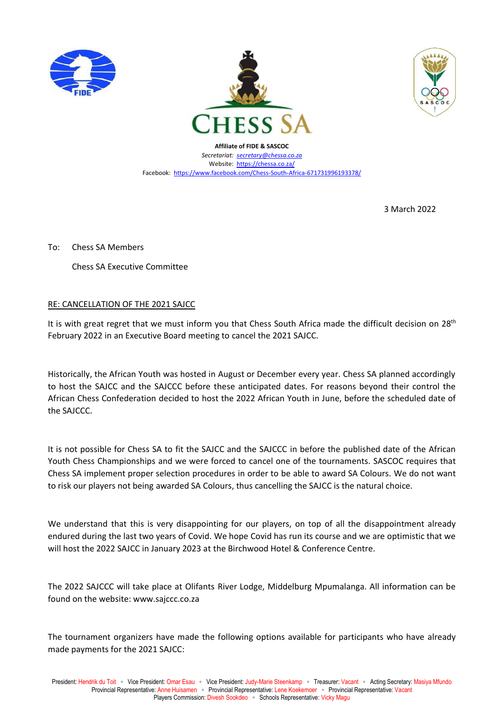





**Affiliate of FIDE & SASCOC** *Secretariat: [secretary@chessa.co.za](mailto:secretary@chessa.co.za)* Website:<https://chessa.co.za/> Facebook:<https://www.facebook.com/Chess-South-Africa-671731996193378/>

3 March 2022

To: Chess SA Members

Chess SA Executive Committee

## RE: CANCELLATION OF THE 2021 SAJCC

It is with great regret that we must inform you that Chess South Africa made the difficult decision on 28<sup>th</sup> February 2022 in an Executive Board meeting to cancel the 2021 SAJCC.

Historically, the African Youth was hosted in August or December every year. Chess SA planned accordingly to host the SAJCC and the SAJCCC before these anticipated dates. For reasons beyond their control the African Chess Confederation decided to host the 2022 African Youth in June, before the scheduled date of the SAJCCC.

It is not possible for Chess SA to fit the SAJCC and the SAJCCC in before the published date of the African Youth Chess Championships and we were forced to cancel one of the tournaments. SASCOC requires that Chess SA implement proper selection procedures in order to be able to award SA Colours. We do not want to risk our players not being awarded SA Colours, thus cancelling the SAJCC is the natural choice.

We understand that this is very disappointing for our players, on top of all the disappointment already endured during the last two years of Covid. We hope Covid has run its course and we are optimistic that we will host the 2022 SAJCC in January 2023 at the Birchwood Hotel & Conference Centre.

The 2022 SAJCCC will take place at Olifants River Lodge, Middelburg Mpumalanga. All information can be found on the website: www.sajccc.co.za

The tournament organizers have made the following options available for participants who have already made payments for the 2021 SAJCC: